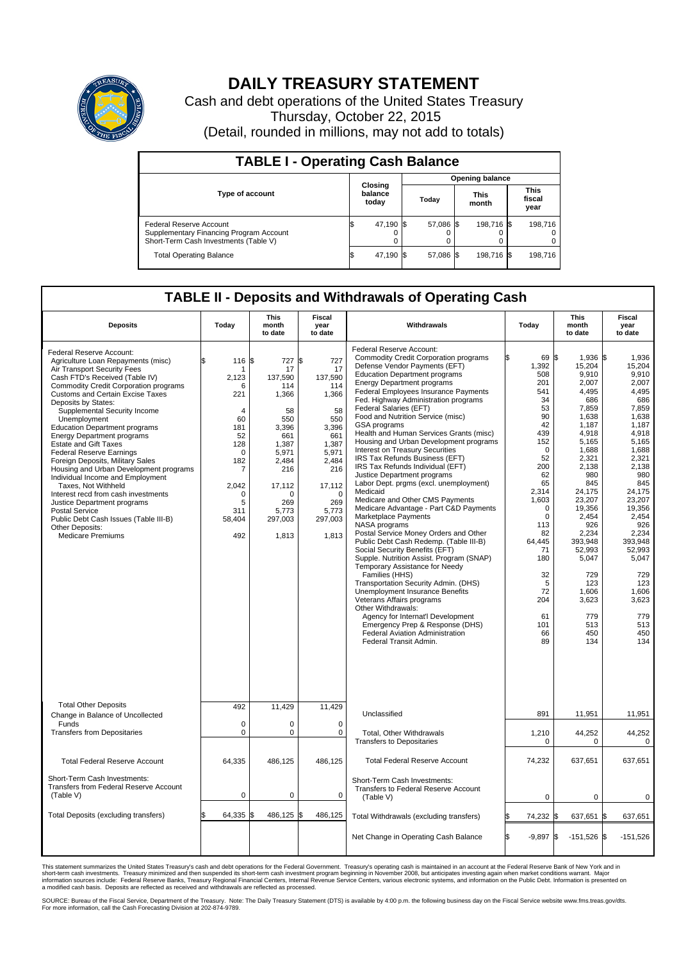

## **DAILY TREASURY STATEMENT**

Cash and debt operations of the United States Treasury Thursday, October 22, 2015 (Detail, rounded in millions, may not add to totals)

| <b>TABLE I - Operating Cash Balance</b>                                                                     |  |                             |  |                        |  |                      |  |                               |  |  |  |
|-------------------------------------------------------------------------------------------------------------|--|-----------------------------|--|------------------------|--|----------------------|--|-------------------------------|--|--|--|
|                                                                                                             |  |                             |  | <b>Opening balance</b> |  |                      |  |                               |  |  |  |
| <b>Type of account</b>                                                                                      |  | Closing<br>balance<br>today |  | Todav                  |  | <b>This</b><br>month |  | <b>This</b><br>fiscal<br>year |  |  |  |
| Federal Reserve Account<br>Supplementary Financing Program Account<br>Short-Term Cash Investments (Table V) |  | 47,190 \$                   |  | 57.086 \$              |  | 198,716 \$           |  | 198.716                       |  |  |  |
| <b>Total Operating Balance</b>                                                                              |  | 47,190 \$                   |  | 57,086 \$              |  | 198,716 \$           |  | 198,716                       |  |  |  |

## **TABLE II - Deposits and Withdrawals of Operating Cash**

| <b>Deposits</b>                                                                                                                                                                                                                                                                                                                                                                                                                                                                                                                                                                                                                                                                                                                                                            | Today                                                                                                                                             | <b>This</b><br>month<br>to date                                                                                                                           | <b>Fiscal</b><br>year<br>to date                                                                                                                                 | Withdrawals                                                                                                                                                                                                                                                                                                                                                                                                                                                                                                                                                                                                                                                                                                                                                                                                                                                                                                                                                                                                                                                                                                                                                                                                                                                   | Today                                                                                                                                                                                                                                                     | This<br>month<br>to date                                                                                                                                                                                                                                                                    | <b>Fiscal</b><br>year<br>to date                                                                                                                                                                                                                                                         |
|----------------------------------------------------------------------------------------------------------------------------------------------------------------------------------------------------------------------------------------------------------------------------------------------------------------------------------------------------------------------------------------------------------------------------------------------------------------------------------------------------------------------------------------------------------------------------------------------------------------------------------------------------------------------------------------------------------------------------------------------------------------------------|---------------------------------------------------------------------------------------------------------------------------------------------------|-----------------------------------------------------------------------------------------------------------------------------------------------------------|------------------------------------------------------------------------------------------------------------------------------------------------------------------|---------------------------------------------------------------------------------------------------------------------------------------------------------------------------------------------------------------------------------------------------------------------------------------------------------------------------------------------------------------------------------------------------------------------------------------------------------------------------------------------------------------------------------------------------------------------------------------------------------------------------------------------------------------------------------------------------------------------------------------------------------------------------------------------------------------------------------------------------------------------------------------------------------------------------------------------------------------------------------------------------------------------------------------------------------------------------------------------------------------------------------------------------------------------------------------------------------------------------------------------------------------|-----------------------------------------------------------------------------------------------------------------------------------------------------------------------------------------------------------------------------------------------------------|---------------------------------------------------------------------------------------------------------------------------------------------------------------------------------------------------------------------------------------------------------------------------------------------|------------------------------------------------------------------------------------------------------------------------------------------------------------------------------------------------------------------------------------------------------------------------------------------|
| Federal Reserve Account:<br>Agriculture Loan Repayments (misc)<br>Air Transport Security Fees<br>Cash FTD's Received (Table IV)<br><b>Commodity Credit Corporation programs</b><br><b>Customs and Certain Excise Taxes</b><br>Deposits by States:<br>Supplemental Security Income<br>Unemployment<br><b>Education Department programs</b><br><b>Energy Department programs</b><br><b>Estate and Gift Taxes</b><br><b>Federal Reserve Earnings</b><br>Foreign Deposits, Military Sales<br>Housing and Urban Development programs<br>Individual Income and Employment<br>Taxes. Not Withheld<br>Interest recd from cash investments<br>Justice Department programs<br>Postal Service<br>Public Debt Cash Issues (Table III-B)<br>Other Deposits:<br><b>Medicare Premiums</b> | 116S<br>\$<br>2,123<br>6<br>221<br>$\overline{4}$<br>60<br>181<br>52<br>128<br>$\mathbf 0$<br>182<br>7<br>2,042<br>0<br>5<br>311<br>58,404<br>492 | 727 \$<br>17<br>137,590<br>114<br>1,366<br>58<br>550<br>3,396<br>661<br>1,387<br>5,971<br>2,484<br>216<br>17,112<br>∩<br>269<br>5,773<br>297,003<br>1,813 | 727<br>17<br>137,590<br>114<br>1,366<br>58<br>550<br>3,396<br>661<br>1,387<br>5,971<br>2,484<br>216<br>17,112<br>$\mathbf 0$<br>269<br>5,773<br>297,003<br>1,813 | Federal Reserve Account:<br><b>Commodity Credit Corporation programs</b><br>Defense Vendor Payments (EFT)<br><b>Education Department programs</b><br><b>Energy Department programs</b><br><b>Federal Employees Insurance Payments</b><br>Fed. Highway Administration programs<br>Federal Salaries (EFT)<br>Food and Nutrition Service (misc)<br>GSA programs<br>Health and Human Services Grants (misc)<br>Housing and Urban Development programs<br>Interest on Treasury Securities<br>IRS Tax Refunds Business (EFT)<br>IRS Tax Refunds Individual (EFT)<br>Justice Department programs<br>Labor Dept. prgms (excl. unemployment)<br>Medicaid<br>Medicare and Other CMS Payments<br>Medicare Advantage - Part C&D Payments<br>Marketplace Payments<br>NASA programs<br>Postal Service Money Orders and Other<br>Public Debt Cash Redemp. (Table III-B)<br>Social Security Benefits (EFT)<br>Supple. Nutrition Assist. Program (SNAP)<br>Temporary Assistance for Needy<br>Families (HHS)<br>Transportation Security Admin. (DHS)<br>Unemployment Insurance Benefits<br>Veterans Affairs programs<br>Other Withdrawals:<br>Agency for Internat'l Development<br>Emergency Prep & Response (DHS)<br>Federal Aviation Administration<br>Federal Transit Admin. | 69 \$<br>ß.<br>1,392<br>508<br>201<br>541<br>34<br>53<br>90<br>42<br>439<br>152<br>$\Omega$<br>52<br>200<br>62<br>65<br>2,314<br>1,603<br>$\mathbf 0$<br>$\mathbf 0$<br>113<br>82<br>64,445<br>71<br>180<br>32<br>5<br>72<br>204<br>61<br>101<br>66<br>89 | 1,936 \$<br>15,204<br>9,910<br>2,007<br>4,495<br>686<br>7,859<br>1.638<br>1,187<br>4,918<br>5.165<br>1,688<br>2,321<br>2,138<br>980<br>845<br>24.175<br>23,207<br>19,356<br>2,454<br>926<br>2,234<br>393.948<br>52,993<br>5,047<br>729<br>123<br>1.606<br>3,623<br>779<br>513<br>450<br>134 | 1,936<br>15,204<br>9.910<br>2,007<br>4,495<br>686<br>7,859<br>1,638<br>1,187<br>4,918<br>5.165<br>1,688<br>2,321<br>2,138<br>980<br>845<br>24.175<br>23,207<br>19,356<br>2,454<br>926<br>2,234<br>393.948<br>52,993<br>5,047<br>729<br>123<br>1,606<br>3,623<br>779<br>513<br>450<br>134 |
| <b>Total Other Deposits</b><br>Change in Balance of Uncollected                                                                                                                                                                                                                                                                                                                                                                                                                                                                                                                                                                                                                                                                                                            | 492                                                                                                                                               | 11,429                                                                                                                                                    | 11,429                                                                                                                                                           | Unclassified                                                                                                                                                                                                                                                                                                                                                                                                                                                                                                                                                                                                                                                                                                                                                                                                                                                                                                                                                                                                                                                                                                                                                                                                                                                  | 891                                                                                                                                                                                                                                                       | 11,951                                                                                                                                                                                                                                                                                      | 11,951                                                                                                                                                                                                                                                                                   |
| Funds<br><b>Transfers from Depositaries</b>                                                                                                                                                                                                                                                                                                                                                                                                                                                                                                                                                                                                                                                                                                                                | $\mathbf 0$<br>$\mathbf 0$                                                                                                                        | 0<br>0                                                                                                                                                    | $\mathbf 0$<br>$\mathbf 0$                                                                                                                                       | Total, Other Withdrawals<br><b>Transfers to Depositaries</b>                                                                                                                                                                                                                                                                                                                                                                                                                                                                                                                                                                                                                                                                                                                                                                                                                                                                                                                                                                                                                                                                                                                                                                                                  | 1,210<br>$\mathbf 0$                                                                                                                                                                                                                                      | 44,252<br>0                                                                                                                                                                                                                                                                                 | 44,252<br>0                                                                                                                                                                                                                                                                              |
| <b>Total Federal Reserve Account</b>                                                                                                                                                                                                                                                                                                                                                                                                                                                                                                                                                                                                                                                                                                                                       | 64,335                                                                                                                                            | 486,125                                                                                                                                                   | 486,125                                                                                                                                                          | <b>Total Federal Reserve Account</b>                                                                                                                                                                                                                                                                                                                                                                                                                                                                                                                                                                                                                                                                                                                                                                                                                                                                                                                                                                                                                                                                                                                                                                                                                          | 74,232                                                                                                                                                                                                                                                    | 637,651                                                                                                                                                                                                                                                                                     | 637,651                                                                                                                                                                                                                                                                                  |
| Short-Term Cash Investments:<br>Transfers from Federal Reserve Account<br>(Table V)                                                                                                                                                                                                                                                                                                                                                                                                                                                                                                                                                                                                                                                                                        | $\pmb{0}$                                                                                                                                         | 0                                                                                                                                                         | $\mathbf 0$                                                                                                                                                      | Short-Term Cash Investments:<br>Transfers to Federal Reserve Account<br>(Table V)                                                                                                                                                                                                                                                                                                                                                                                                                                                                                                                                                                                                                                                                                                                                                                                                                                                                                                                                                                                                                                                                                                                                                                             | 0                                                                                                                                                                                                                                                         | 0                                                                                                                                                                                                                                                                                           | 0                                                                                                                                                                                                                                                                                        |
| Total Deposits (excluding transfers)                                                                                                                                                                                                                                                                                                                                                                                                                                                                                                                                                                                                                                                                                                                                       | 64,335                                                                                                                                            | 486,125                                                                                                                                                   | \$<br>486,125                                                                                                                                                    | Total Withdrawals (excluding transfers)                                                                                                                                                                                                                                                                                                                                                                                                                                                                                                                                                                                                                                                                                                                                                                                                                                                                                                                                                                                                                                                                                                                                                                                                                       | 74,232<br>\$                                                                                                                                                                                                                                              | 637,651                                                                                                                                                                                                                                                                                     | 1\$<br>637,651                                                                                                                                                                                                                                                                           |
|                                                                                                                                                                                                                                                                                                                                                                                                                                                                                                                                                                                                                                                                                                                                                                            |                                                                                                                                                   |                                                                                                                                                           |                                                                                                                                                                  | Net Change in Operating Cash Balance                                                                                                                                                                                                                                                                                                                                                                                                                                                                                                                                                                                                                                                                                                                                                                                                                                                                                                                                                                                                                                                                                                                                                                                                                          | Ŝ.<br>$-9,897$ \$                                                                                                                                                                                                                                         | $-151,526$ \$                                                                                                                                                                                                                                                                               | $-151,526$                                                                                                                                                                                                                                                                               |

This statement summarizes the United States Treasury's cash and debt operations for the Federal Government. Treasury's operating cash is maintained in an account at the Federal Reserve Bank of New York and in<br>short-term ca

SOURCE: Bureau of the Fiscal Service, Department of the Treasury. Note: The Daily Treasury Statement (DTS) is available by 4:00 p.m. the following business day on the Fiscal Service website www.fms.treas.gov/dts.<br>For more